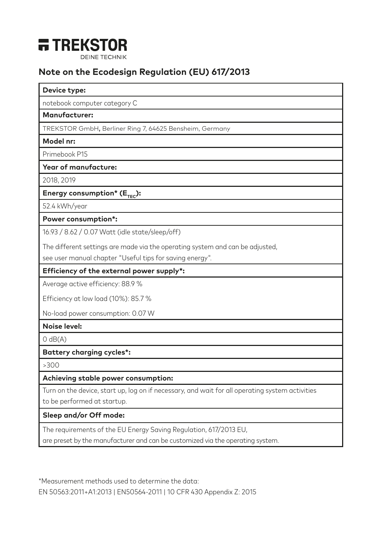

# **Note on the Ecodesign Regulation (EU) 617/2013**

#### **Device type:**

notebook computer category C

### **Manufacturer:**

TREKSTOR GmbH, Berliner Ring 7, 64625 Bensheim, Germany

#### **Model nr:**

Primebook P15

## **Year of manufacture:**

2018, 2019

Energy consumption<sup>\*</sup> (E<sub>rec</sub>):

52.4 kWh/year

#### **Power consumption\*:**

16.93 / 8.62 / 0.07 Watt (idle state/sleep/off)

The different settings are made via the operating system and can be adjusted,

see user manual chapter "Useful tips for saving energy".

# **Efficiency of the external power supply\*:**

Average active efficiency: 88.9 %

Efficiency at low load (10%): 85.7 %

No-load power consumption: 0.07 W

### **Noise level:**

 $O$  dB $(A)$ 

### **Battery charging cycles\*:**

>300

### **Achieving stable power consumption:**

Turn on the device, start up, log on if necessary, and wait for all operating system activities to be performed at startup.

### **Sleep and/or Off mode:**

The requirements of the EU Energy Saving Regulation, 617/2013 EU,

are preset by the manufacturer and can be customized via the operating system.

\*Measurement methods used to determine the data: EN 50563:2011+A1:2013 | EN50564-2011 | 10 CFR 430 Appendix Z: 2015